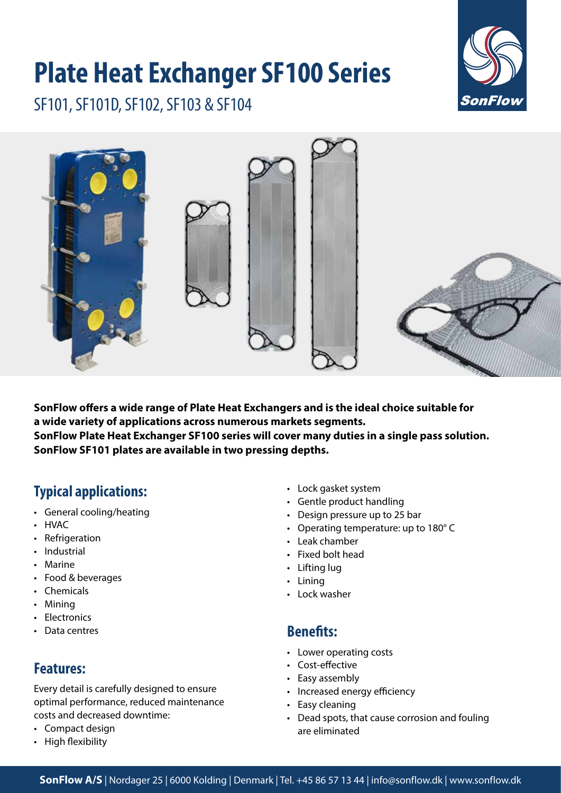# **Plate Heat Exchanger SF100 Series**



SF101, SF101D, SF102, SF103 & SF104



**SonFlow offers a wide range of Plate Heat Exchangers and is the ideal choice suitable for a wide variety of applications across numerous markets segments. SonFlow Plate Heat Exchanger SF100 series will cover many duties in a single pass solution. SonFlow SF101 plates are available in two pressing depths.**

# **Typical applications:**

- General cooling/heating
- HVAC
- Refrigeration
- Industrial
- Marine
- Food & beverages
- Chemicals
- Mining
- Electronics
- Data centres

## **Features:**

Every detail is carefully designed to ensure optimal performance, reduced maintenance costs and decreased downtime:

- Compact design
- High flexibility
- Lock gasket system
- Gentle product handling
- Design pressure up to 25 bar
- Operating temperature: up to 180° C
- Leak chamber
- Fixed bolt head
- Lifting lug
- Lining
- Lock washer

## **Benefits:**

- Lower operating costs
- Cost-effective
- Easy assembly
- Increased energy efficiency
- Easy cleaning
- Dead spots, that cause corrosion and fouling are eliminated